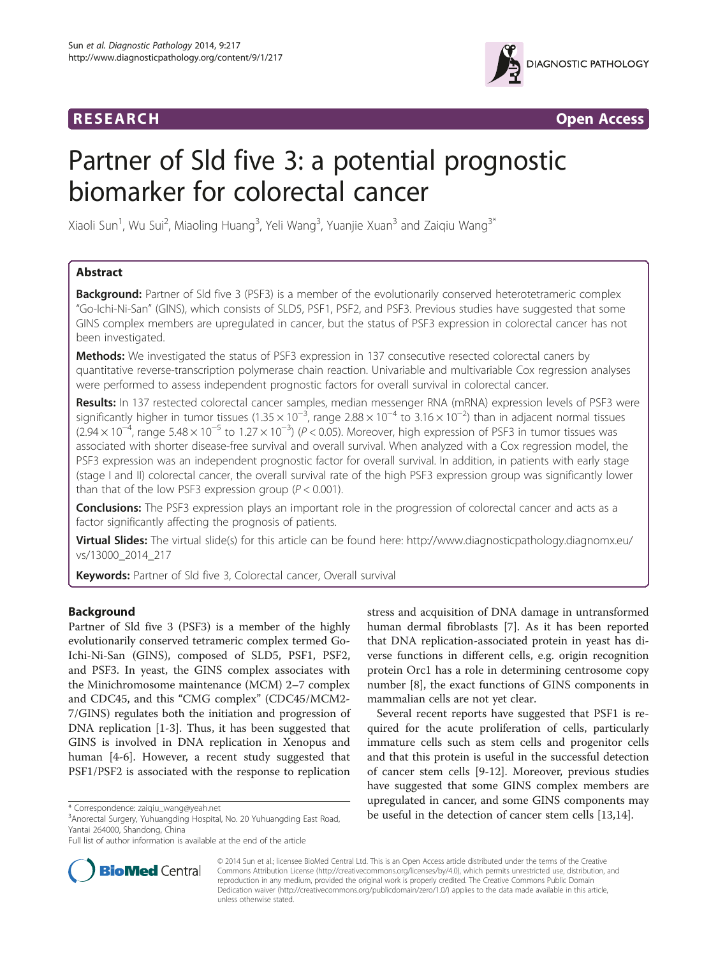## **RESEARCH RESEARCH** *CONSERVERSEARCH*



# Partner of Sld five 3: a potential prognostic biomarker for colorectal cancer

Xiaoli Sun<sup>1</sup>, Wu Sui<sup>2</sup>, Miaoling Huang<sup>3</sup>, Yeli Wang<sup>3</sup>, Yuanjie Xuan<sup>3</sup> and Zaiqiu Wang<sup>3\*</sup>

## Abstract

**Background:** Partner of Sld five 3 (PSF3) is a member of the evolutionarily conserved heterotetrameric complex "Go-Ichi-Ni-San" (GINS), which consists of SLD5, PSF1, PSF2, and PSF3. Previous studies have suggested that some GINS complex members are upregulated in cancer, but the status of PSF3 expression in colorectal cancer has not been investigated.

Methods: We investigated the status of PSF3 expression in 137 consecutive resected colorectal caners by quantitative reverse-transcription polymerase chain reaction. Univariable and multivariable Cox regression analyses were performed to assess independent prognostic factors for overall survival in colorectal cancer.

Results: In 137 restected colorectal cancer samples, median messenger RNA (mRNA) expression levels of PSF3 were significantly higher in tumor tissues (1.35  $\times$  10<sup>-3</sup>, range 2.88  $\times$  10<sup>-4</sup> to 3.16  $\times$  10<sup>-2</sup>) than in adjacent normal tissues  $(2.94 \times 10^{-4}$ , range  $5.48 \times 10^{-5}$  to  $1.27 \times 10^{-3}$ ) (P < 0.05). Moreover, high expression of PSF3 in tumor tissues was associated with shorter disease-free survival and overall survival. When analyzed with a Cox regression model, the PSF3 expression was an independent prognostic factor for overall survival. In addition, in patients with early stage (stage I and II) colorectal cancer, the overall survival rate of the high PSF3 expression group was significantly lower than that of the low PSF3 expression group ( $P < 0.001$ ).

**Conclusions:** The PSF3 expression plays an important role in the progression of colorectal cancer and acts as a factor significantly affecting the prognosis of patients.

Virtual Slides: The virtual slide(s) for this article can be found here: [http://www.diagnosticpathology.diagnomx.eu/](http://www.diagnosticpathology.diagnomx.eu/vs/13000_2014_217) [vs/13000\\_2014\\_217](http://www.diagnosticpathology.diagnomx.eu/vs/13000_2014_217)

Keywords: Partner of Sld five 3, Colorectal cancer, Overall survival

## Background

Partner of Sld five 3 (PSF3) is a member of the highly evolutionarily conserved tetrameric complex termed Go-Ichi-Ni-San (GINS), composed of SLD5, PSF1, PSF2, and PSF3. In yeast, the GINS complex associates with the Minichromosome maintenance (MCM) 2–7 complex and CDC45, and this "CMG complex" (CDC45/MCM2- 7/GINS) regulates both the initiation and progression of DNA replication [\[1](#page-5-0)-[3\]](#page-5-0). Thus, it has been suggested that GINS is involved in DNA replication in Xenopus and human [[4-6](#page-5-0)]. However, a recent study suggested that PSF1/PSF2 is associated with the response to replication

<sup>3</sup> Anorectal Surgery, Yuhuangding Hospital, No. 20 Yuhuangding East Road, Yantai 264000, Shandong, China

stress and acquisition of DNA damage in untransformed human dermal fibroblasts [\[7\]](#page-5-0). As it has been reported that DNA replication-associated protein in yeast has diverse functions in different cells, e.g. origin recognition protein Orc1 has a role in determining centrosome copy number [\[8](#page-5-0)], the exact functions of GINS components in mammalian cells are not yet clear.

Several recent reports have suggested that PSF1 is required for the acute proliferation of cells, particularly immature cells such as stem cells and progenitor cells and that this protein is useful in the successful detection of cancer stem cells [\[9](#page-5-0)-[12\]](#page-5-0). Moreover, previous studies have suggested that some GINS complex members are upregulated in cancer, and some GINS components may \* Correspondence: [zaiqiu\\_wang@yeah.net](mailto:zaiqiu_wang@yeah.net)<br><sup>3</sup>Anorectal Surgery Yubuangding Hospital No. 20 Yubuangding East Road **be useful in the detection of cancer stem cells** [[13,14\]](#page-5-0).



© 2014 Sun et al.; licensee BioMed Central Ltd. This is an Open Access article distributed under the terms of the Creative Commons Attribution License [\(http://creativecommons.org/licenses/by/4.0\)](http://creativecommons.org/licenses/by/4.0), which permits unrestricted use, distribution, and reproduction in any medium, provided the original work is properly credited. The Creative Commons Public Domain Dedication waiver [\(http://creativecommons.org/publicdomain/zero/1.0/](http://creativecommons.org/publicdomain/zero/1.0/)) applies to the data made available in this article, unless otherwise stated.

Full list of author information is available at the end of the article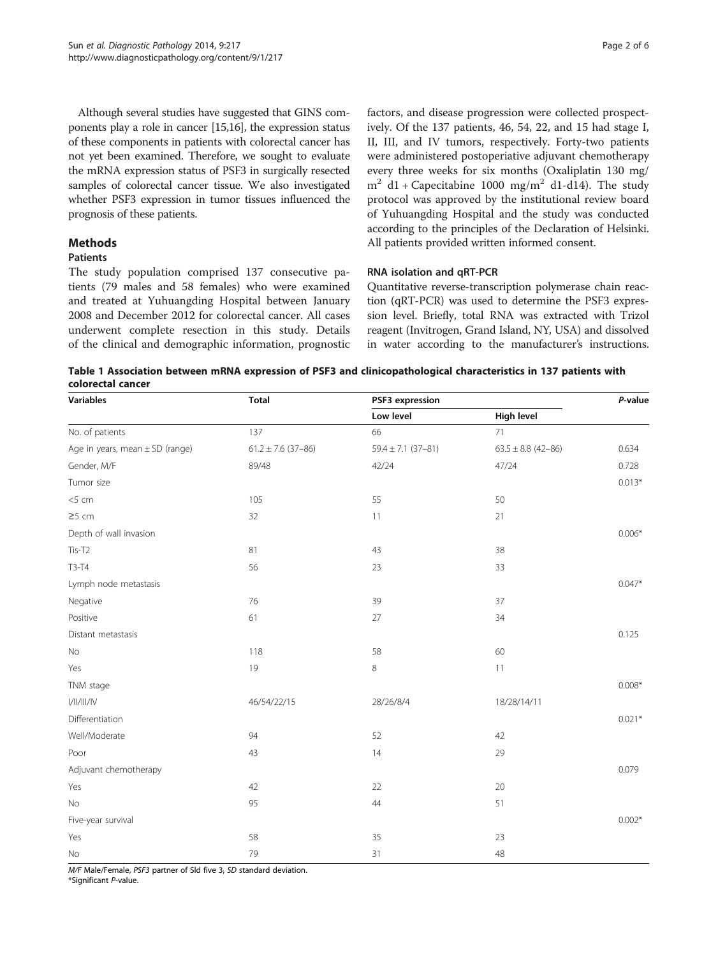<span id="page-1-0"></span>Although several studies have suggested that GINS components play a role in cancer [\[15,16](#page-5-0)], the expression status of these components in patients with colorectal cancer has not yet been examined. Therefore, we sought to evaluate the mRNA expression status of PSF3 in surgically resected samples of colorectal cancer tissue. We also investigated whether PSF3 expression in tumor tissues influenced the prognosis of these patients.

## **Methods**

#### Patients

The study population comprised 137 consecutive patients (79 males and 58 females) who were examined and treated at Yuhuangding Hospital between January 2008 and December 2012 for colorectal cancer. All cases underwent complete resection in this study. Details of the clinical and demographic information, prognostic factors, and disease progression were collected prospectively. Of the 137 patients, 46, 54, 22, and 15 had stage I, II, III, and IV tumors, respectively. Forty-two patients were administered postoperiative adjuvant chemotherapy every three weeks for six months (Oxaliplatin 130 mg/  $m^2$  d1 + Capecitabine 1000 mg/m<sup>2</sup> d1-d14). The study protocol was approved by the institutional review board of Yuhuangding Hospital and the study was conducted according to the principles of the Declaration of Helsinki. All patients provided written informed consent.

## RNA isolation and qRT-PCR

Quantitative reverse-transcription polymerase chain reaction (qRT-PCR) was used to determine the PSF3 expression level. Briefly, total RNA was extracted with Trizol reagent (Invitrogen, Grand Island, NY, USA) and dissolved in water according to the manufacturer's instructions.

Table 1 Association between mRNA expression of PSF3 and clinicopathological characteristics in 137 patients with colorectal cancer

| Variables                           | <b>Total</b>           | PSF3 expression        |                        | P-value  |
|-------------------------------------|------------------------|------------------------|------------------------|----------|
|                                     |                        | Low level              | High level             |          |
| No. of patients                     | 137                    | 66                     | 71                     |          |
| Age in years, mean $\pm$ SD (range) | $61.2 \pm 7.6$ (37-86) | $59.4 \pm 7.1$ (37-81) | $63.5 \pm 8.8$ (42-86) | 0.634    |
| Gender, M/F                         | 89/48                  | 42/24                  | 47/24                  | 0.728    |
| Tumor size                          |                        |                        |                        | $0.013*$ |
| $<$ 5 cm                            | 105                    | 55                     | 50                     |          |
| $\geq$ 5 cm                         | 32                     | 11                     | 21                     |          |
| Depth of wall invasion              |                        |                        |                        | $0.006*$ |
| Tis-T2                              | 81                     | 43                     | 38                     |          |
| T3-T4                               | 56                     | 23                     | 33                     |          |
| Lymph node metastasis               |                        |                        |                        | $0.047*$ |
| Negative                            | 76                     | 39                     | 37                     |          |
| Positive                            | 61                     | 27                     | 34                     |          |
| Distant metastasis                  |                        |                        |                        | 0.125    |
| $\rm No$                            | 118                    | 58                     | 60                     |          |
| Yes                                 | 19                     | 8                      | 11                     |          |
| TNM stage                           |                        |                        |                        | $0.008*$ |
| $\rm I/II/III/IV$                   | 46/54/22/15            | 28/26/8/4              | 18/28/14/11            |          |
| Differentiation                     |                        |                        |                        | $0.021*$ |
| Well/Moderate                       | 94                     | 52                     | 42                     |          |
| Poor                                | 43                     | $14$                   | 29                     |          |
| Adjuvant chemotherapy               |                        |                        |                        | 0.079    |
| Yes                                 | 42                     | 22                     | 20                     |          |
| No                                  | 95                     | 44                     | 51                     |          |
| Five-year survival                  |                        |                        |                        | $0.002*$ |
| Yes                                 | 58                     | 35                     | 23                     |          |
| No                                  | 79                     | 31                     | 48                     |          |

M/F Male/Female, PSF3 partner of Sld five 3, SD standard deviation.

\*Significant P-value.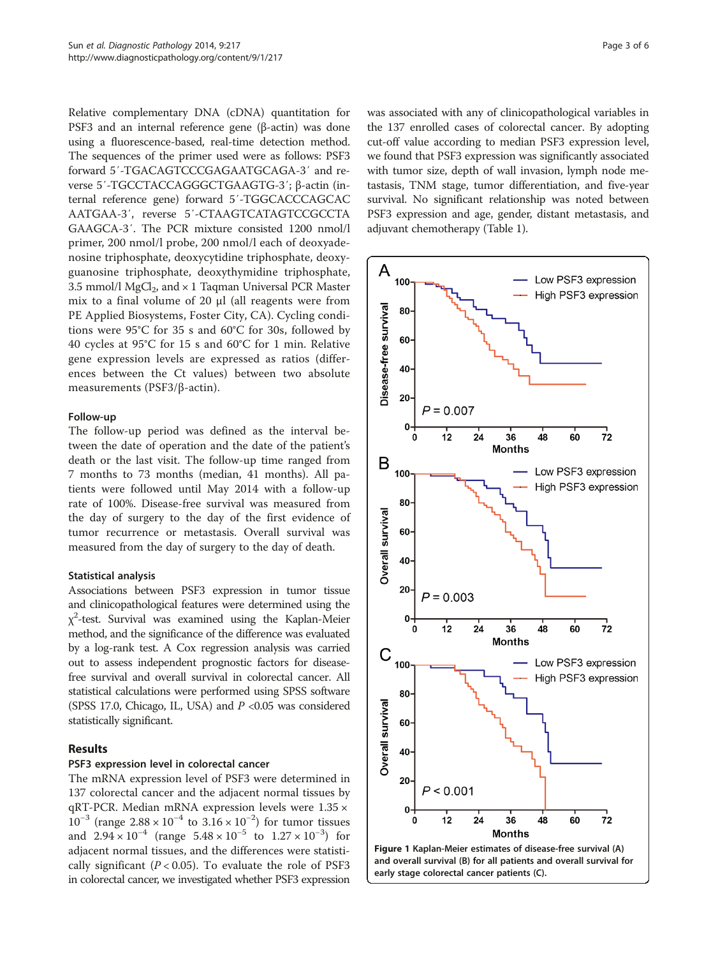<span id="page-2-0"></span>Relative complementary DNA (cDNA) quantitation for PSF3 and an internal reference gene (β-actin) was done using a fluorescence-based, real-time detection method. The sequences of the primer used were as follows: PSF3 forward 5′-TGACAGTCCCGAGAATGCAGA-3′ and reverse 5′-TGCCTACCAGGGCTGAAGTG-3′; β-actin (internal reference gene) forward 5′-TGGCACCCAGCAC AATGAA-3′, reverse 5′-CTAAGTCATAGTCCGCCTA GAAGCA-3′. The PCR mixture consisted 1200 nmol/l primer, 200 nmol/l probe, 200 nmol/l each of deoxyadenosine triphosphate, deoxycytidine triphosphate, deoxyguanosine triphosphate, deoxythymidine triphosphate, 3.5 mmol/l MgCl<sub>2</sub>, and  $\times$  1 Tagman Universal PCR Master mix to a final volume of 20 μl (all reagents were from PE Applied Biosystems, Foster City, CA). Cycling conditions were 95°C for 35 s and 60°C for 30s, followed by 40 cycles at 95°C for 15 s and 60°C for 1 min. Relative gene expression levels are expressed as ratios (differences between the Ct values) between two absolute measurements (PSF3/β-actin).

#### Follow-up

The follow-up period was defined as the interval between the date of operation and the date of the patient's death or the last visit. The follow-up time ranged from 7 months to 73 months (median, 41 months). All patients were followed until May 2014 with a follow-up rate of 100%. Disease-free survival was measured from the day of surgery to the day of the first evidence of tumor recurrence or metastasis. Overall survival was measured from the day of surgery to the day of death.

## Statistical analysis

Associations between PSF3 expression in tumor tissue and clinicopathological features were determined using the  $\chi^2$ -test. Survival was examined using the Kaplan-Meier method, and the significance of the difference was evaluated by a log-rank test. A Cox regression analysis was carried out to assess independent prognostic factors for diseasefree survival and overall survival in colorectal cancer. All statistical calculations were performed using SPSS software (SPSS 17.0, Chicago, IL, USA) and  $P < 0.05$  was considered statistically significant.

## Results

## PSF3 expression level in colorectal cancer

The mRNA expression level of PSF3 were determined in 137 colorectal cancer and the adjacent normal tissues by qRT-PCR. Median mRNA expression levels were 1.35 ×  $10^{-3}$  (range  $2.88 \times 10^{-4}$  to  $3.16 \times 10^{-2}$ ) for tumor tissues and  $2.94 \times 10^{-4}$  (range  $5.48 \times 10^{-5}$  to  $1.27 \times 10^{-3}$ ) for adjacent normal tissues, and the differences were statistically significant ( $P < 0.05$ ). To evaluate the role of PSF3 in colorectal cancer, we investigated whether PSF3 expression was associated with any of clinicopathological variables in the 137 enrolled cases of colorectal cancer. By adopting cut-off value according to median PSF3 expression level, we found that PSF3 expression was significantly associated with tumor size, depth of wall invasion, lymph node metastasis, TNM stage, tumor differentiation, and five-year survival. No significant relationship was noted between PSF3 expression and age, gender, distant metastasis, and adjuvant chemotherapy (Table [1](#page-1-0)).



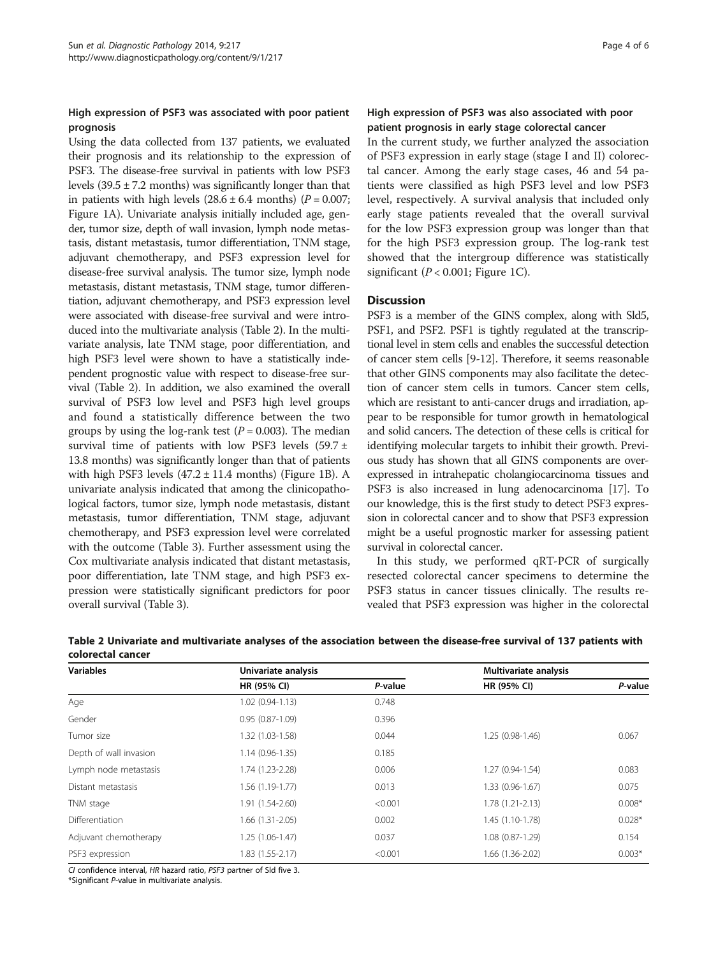## High expression of PSF3 was associated with poor patient prognosis

Using the data collected from 137 patients, we evaluated their prognosis and its relationship to the expression of PSF3. The disease-free survival in patients with low PSF3 levels  $(39.5 \pm 7.2 \text{ months})$  was significantly longer than that in patients with high levels  $(28.6 \pm 6.4 \text{ months})$   $(P = 0.007;$ Figure [1](#page-2-0)A). Univariate analysis initially included age, gender, tumor size, depth of wall invasion, lymph node metastasis, distant metastasis, tumor differentiation, TNM stage, adjuvant chemotherapy, and PSF3 expression level for disease-free survival analysis. The tumor size, lymph node metastasis, distant metastasis, TNM stage, tumor differentiation, adjuvant chemotherapy, and PSF3 expression level were associated with disease-free survival and were introduced into the multivariate analysis (Table 2). In the multivariate analysis, late TNM stage, poor differentiation, and high PSF3 level were shown to have a statistically independent prognostic value with respect to disease-free survival (Table 2). In addition, we also examined the overall survival of PSF3 low level and PSF3 high level groups and found a statistically difference between the two groups by using the log-rank test  $(P = 0.003)$ . The median survival time of patients with low PSF3 levels  $(59.7 \pm 1)$ 13.8 months) was significantly longer than that of patients with high PSF3 levels  $(47.2 \pm 11.4 \text{ months})$  $(47.2 \pm 11.4 \text{ months})$  $(47.2 \pm 11.4 \text{ months})$  (Figure 1B). A univariate analysis indicated that among the clinicopathological factors, tumor size, lymph node metastasis, distant metastasis, tumor differentiation, TNM stage, adjuvant chemotherapy, and PSF3 expression level were correlated with the outcome (Table [3](#page-4-0)). Further assessment using the Cox multivariate analysis indicated that distant metastasis, poor differentiation, late TNM stage, and high PSF3 expression were statistically significant predictors for poor overall survival (Table [3](#page-4-0)).

## High expression of PSF3 was also associated with poor patient prognosis in early stage colorectal cancer

In the current study, we further analyzed the association of PSF3 expression in early stage (stage I and II) colorectal cancer. Among the early stage cases, 46 and 54 patients were classified as high PSF3 level and low PSF3 level, respectively. A survival analysis that included only early stage patients revealed that the overall survival for the low PSF3 expression group was longer than that for the high PSF3 expression group. The log-rank test showed that the intergroup difference was statistically significant ( $P < 0.001$ ; Figure [1C](#page-2-0)).

## **Discussion**

PSF3 is a member of the GINS complex, along with Sld5, PSF1, and PSF2. PSF1 is tightly regulated at the transcriptional level in stem cells and enables the successful detection of cancer stem cells [\[9-12\]](#page-5-0). Therefore, it seems reasonable that other GINS components may also facilitate the detection of cancer stem cells in tumors. Cancer stem cells, which are resistant to anti-cancer drugs and irradiation, appear to be responsible for tumor growth in hematological and solid cancers. The detection of these cells is critical for identifying molecular targets to inhibit their growth. Previous study has shown that all GINS components are overexpressed in intrahepatic cholangiocarcinoma tissues and PSF3 is also increased in lung adenocarcinoma [\[17](#page-5-0)]. To our knowledge, this is the first study to detect PSF3 expression in colorectal cancer and to show that PSF3 expression might be a useful prognostic marker for assessing patient survival in colorectal cancer.

In this study, we performed qRT-PCR of surgically resected colorectal cancer specimens to determine the PSF3 status in cancer tissues clinically. The results revealed that PSF3 expression was higher in the colorectal

| <b>Variables</b>       | Univariate analysis |         | Multivariate analysis |          |
|------------------------|---------------------|---------|-----------------------|----------|
|                        | HR (95% CI)         | P-value | HR (95% CI)           | P-value  |
| Age                    | $1.02(0.94-1.13)$   | 0.748   |                       |          |
| Gender                 | $0.95(0.87-1.09)$   | 0.396   |                       |          |
| Tumor size             | 1.32 (1.03-1.58)    | 0.044   | $1.25(0.98-1.46)$     | 0.067    |
| Depth of wall invasion | $1.14(0.96-1.35)$   | 0.185   |                       |          |
| Lymph node metastasis  | 1.74 (1.23-2.28)    | 0.006   | $1.27(0.94-1.54)$     | 0.083    |
| Distant metastasis     | $1.56(1.19-1.77)$   | 0.013   | 1.33 (0.96-1.67)      | 0.075    |
| TNM stage              | 1.91 (1.54-2.60)    | < 0.001 | $1.78(1.21 - 2.13)$   | $0.008*$ |
| <b>Differentiation</b> | 1.66 (1.31-2.05)    | 0.002   | 1.45 (1.10-1.78)      | $0.028*$ |
| Adjuvant chemotherapy  | $1.25(1.06-1.47)$   | 0.037   | 1.08 (0.87-1.29)      | 0.154    |
| PSF3 expression        | 1.83 (1.55-2.17)    | < 0.001 | 1.66 (1.36-2.02)      | $0.003*$ |

Table 2 Univariate and multivariate analyses of the association between the disease-free survival of 137 patients with colorectal cancer

CI confidence interval, HR hazard ratio, PSF3 partner of Sld five 3.

\*Significant P-value in multivariate analysis.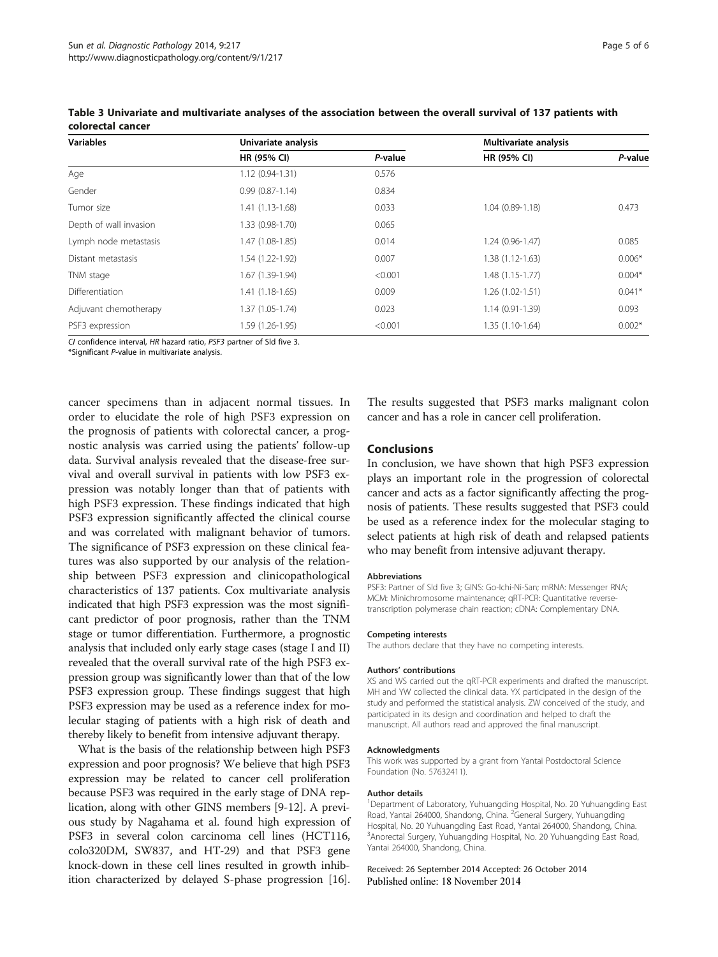| <b>Variables</b>       | Univariate analysis |         | Multivariate analysis |          |
|------------------------|---------------------|---------|-----------------------|----------|
|                        | HR (95% CI)         | P-value | HR (95% CI)           | P-value  |
| Age                    | $1.12(0.94-1.31)$   | 0.576   |                       |          |
| Gender                 | $0.99(0.87 - 1.14)$ | 0.834   |                       |          |
| Tumor size             | $1.41(1.13-1.68)$   | 0.033   | $1.04(0.89-1.18)$     | 0.473    |
| Depth of wall invasion | 1.33 (0.98-1.70)    | 0.065   |                       |          |
| Lymph node metastasis  | 1.47 (1.08-1.85)    | 0.014   | $1.24(0.96-1.47)$     | 0.085    |
| Distant metastasis     | 1.54 (1.22-1.92)    | 0.007   | 1.38 (1.12-1.63)      | $0.006*$ |
| TNM stage              | 1.67 (1.39-1.94)    | < 0.001 | 1.48 (1.15-1.77)      | $0.004*$ |
| Differentiation        | $1.41(1.18-1.65)$   | 0.009   | 1.26 (1.02-1.51)      | $0.041*$ |
| Adjuvant chemotherapy  | 1.37 (1.05-1.74)    | 0.023   | 1.14 (0.91-1.39)      | 0.093    |
| PSF3 expression        | 1.59 (1.26-1.95)    | < 0.001 | 1.35 (1.10-1.64)      | $0.002*$ |

<span id="page-4-0"></span>Table 3 Univariate and multivariate analyses of the association between the overall survival of 137 patients with colorectal cancer

CI confidence interval, HR hazard ratio, PSF3 partner of Sld five 3.

\*Significant P-value in multivariate analysis.

cancer specimens than in adjacent normal tissues. In order to elucidate the role of high PSF3 expression on the prognosis of patients with colorectal cancer, a prognostic analysis was carried using the patients' follow-up data. Survival analysis revealed that the disease-free survival and overall survival in patients with low PSF3 expression was notably longer than that of patients with high PSF3 expression. These findings indicated that high PSF3 expression significantly affected the clinical course and was correlated with malignant behavior of tumors. The significance of PSF3 expression on these clinical features was also supported by our analysis of the relationship between PSF3 expression and clinicopathological characteristics of 137 patients. Cox multivariate analysis indicated that high PSF3 expression was the most significant predictor of poor prognosis, rather than the TNM stage or tumor differentiation. Furthermore, a prognostic analysis that included only early stage cases (stage I and II) revealed that the overall survival rate of the high PSF3 expression group was significantly lower than that of the low PSF3 expression group. These findings suggest that high PSF3 expression may be used as a reference index for molecular staging of patients with a high risk of death and thereby likely to benefit from intensive adjuvant therapy.

What is the basis of the relationship between high PSF3 expression and poor prognosis? We believe that high PSF3 expression may be related to cancer cell proliferation because PSF3 was required in the early stage of DNA replication, along with other GINS members [[9-12\]](#page-5-0). A previous study by Nagahama et al. found high expression of PSF3 in several colon carcinoma cell lines (HCT116, colo320DM, SW837, and HT-29) and that PSF3 gene knock-down in these cell lines resulted in growth inhibition characterized by delayed S-phase progression [[16](#page-5-0)]. The results suggested that PSF3 marks malignant colon cancer and has a role in cancer cell proliferation.

#### Conclusions

In conclusion, we have shown that high PSF3 expression plays an important role in the progression of colorectal cancer and acts as a factor significantly affecting the prognosis of patients. These results suggested that PSF3 could be used as a reference index for the molecular staging to select patients at high risk of death and relapsed patients who may benefit from intensive adjuvant therapy.

#### Abbreviations

PSF3: Partner of Sld five 3; GINS: Go-Ichi-Ni-San; mRNA: Messenger RNA; MCM: Minichromosome maintenance; qRT-PCR: Quantitative reversetranscription polymerase chain reaction; cDNA: Complementary DNA.

#### Competing interests

The authors declare that they have no competing interests.

#### Authors' contributions

XS and WS carried out the qRT-PCR experiments and drafted the manuscript. MH and YW collected the clinical data. YX participated in the design of the study and performed the statistical analysis. ZW conceived of the study, and participated in its design and coordination and helped to draft the manuscript. All authors read and approved the final manuscript.

#### Acknowledgments

This work was supported by a grant from Yantai Postdoctoral Science Foundation (No. 57632411).

#### Author details

<sup>1</sup>Department of Laboratory, Yuhuangding Hospital, No. 20 Yuhuangding East Road, Yantai 264000, Shandong, China. <sup>2</sup>General Surgery, Yuhuangding Hospital, No. 20 Yuhuangding East Road, Yantai 264000, Shandong, China. <sup>3</sup> Anorectal Surgery, Yuhuangding Hospital, No. 20 Yuhuangding East Road Yantai 264000, Shandong, China.

Received: 26 September 2014 Accepted: 26 October 2014 Published online: 18 November 2014